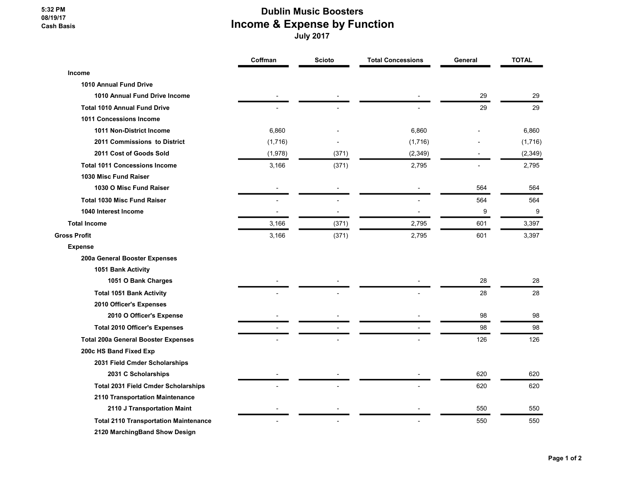## 5:32 PM 08/19/17 Cash Basis

## Dublin Music Boosters Income & Expense by Function

July 2017

|                                              | Coffman | <b>Scioto</b> | <b>Total Concessions</b> | General | <b>TOTAL</b> |
|----------------------------------------------|---------|---------------|--------------------------|---------|--------------|
| Income                                       |         |               |                          |         |              |
| 1010 Annual Fund Drive                       |         |               |                          |         |              |
| 1010 Annual Fund Drive Income                |         |               |                          | 29      | 29           |
| <b>Total 1010 Annual Fund Drive</b>          |         |               |                          | 29      | 29           |
| <b>1011 Concessions Income</b>               |         |               |                          |         |              |
| 1011 Non-District Income                     | 6,860   |               | 6,860                    |         | 6,860        |
| 2011 Commissions to District                 | (1,716) |               | (1,716)                  |         | (1,716)      |
| 2011 Cost of Goods Sold                      | (1,978) | (371)         | (2, 349)                 |         | (2, 349)     |
| <b>Total 1011 Concessions Income</b>         | 3,166   | (371)         | 2,795                    |         | 2,795        |
| 1030 Misc Fund Raiser                        |         |               |                          |         |              |
| 1030 O Misc Fund Raiser                      |         |               |                          | 564     | 564          |
| <b>Total 1030 Misc Fund Raiser</b>           |         |               |                          | 564     | 564          |
| 1040 Interest Income                         |         |               |                          | 9       | 9            |
| <b>Total Income</b>                          | 3,166   | (371)         | 2,795                    | 601     | 3,397        |
| <b>Gross Profit</b>                          | 3,166   | (371)         | 2,795                    | 601     | 3,397        |
| <b>Expense</b>                               |         |               |                          |         |              |
| 200a General Booster Expenses                |         |               |                          |         |              |
| 1051 Bank Activity                           |         |               |                          |         |              |
| 1051 O Bank Charges                          |         |               |                          | 28      | 28           |
| <b>Total 1051 Bank Activity</b>              |         |               |                          | 28      | 28           |
| 2010 Officer's Expenses                      |         |               |                          |         |              |
| 2010 O Officer's Expense                     |         |               |                          | 98      | 98           |
| <b>Total 2010 Officer's Expenses</b>         |         |               |                          | 98      | 98           |
| <b>Total 200a General Booster Expenses</b>   |         |               |                          | 126     | 126          |
| 200c HS Band Fixed Exp                       |         |               |                          |         |              |
| 2031 Field Cmder Scholarships                |         |               |                          |         |              |
| 2031 C Scholarships                          |         |               |                          | 620     | 620          |
| <b>Total 2031 Field Cmder Scholarships</b>   |         |               |                          | 620     | 620          |
| 2110 Transportation Maintenance              |         |               |                          |         |              |
| 2110 J Transportation Maint                  |         |               |                          | 550     | 550          |
| <b>Total 2110 Transportation Maintenance</b> |         |               |                          | 550     | 550          |
| 2120 MarchingBand Show Design                |         |               |                          |         |              |